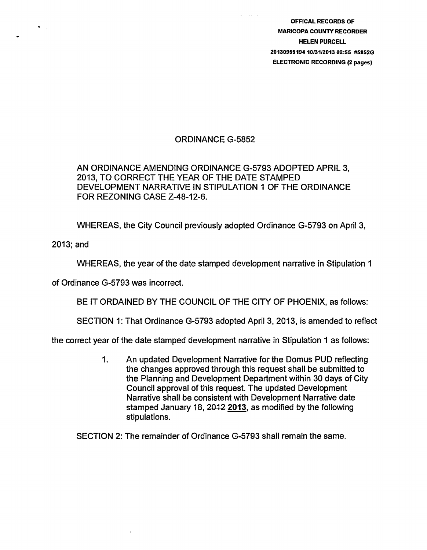OFFICAL RECORDS OF MARICOPA COUNTY RECORDER HELEN PURCELL 20130955194 1013112013 02:55 #5852G ELECTRONIC RECORDING (2 pages)

## ORDINANCE G-5852

## AN ORDINANCE AMENDING ORDINANCE G-5793 ADOPTED APRIL 3, 2013, TO CORRECT THE YEAR OF THE DATE STAMPED DEVELOPMENT NARRATIVE IN STIPULATION 1 OF THE ORDINANCE FOR REZONING CASE Z-48-12-6.

WHEREAS, the City Council previously adopted Ordinance G-5793 on April 3,

2013;and

WHEREAS, the year of the date stamped development narrative in Stipulation 1

of Ordinance G-5793 was incorrect.

BE IT ORDAINED BY THE COUNCIL OF THE CITY OF PHOENIX, as follows:

SECTION 1: That Ordinance G-5793 adopted April 3, 2013, is amended to reflect

the correct year of the date stamped development narrative in Stipulation 1 as follows:

1. An updated Development Narrative for the Domus PUD reflecting the changes approved through this request shall be submitted to the Planning and Development Department within 30 days of City Council approval of this request. The updated Development Narrative shall be consistent with Development Narrative date stamped January 18, 2012 2013, as modified by the following stipulations.

SECTION 2: The remainder of Ordinance G-5793 shall remain the same.